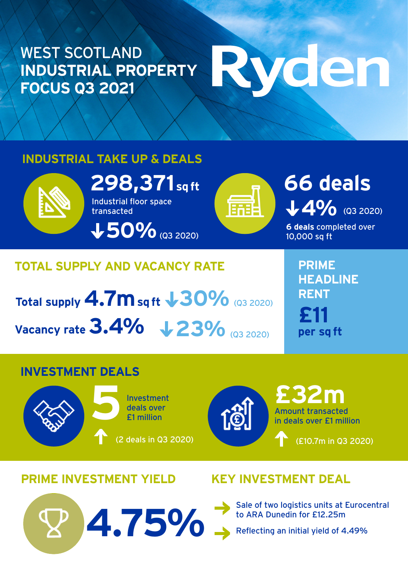#### WEST SCOTLAND **INDUSTRIAL PROPERTY FOCUS Q3 2021**

# Wden

#### **INDUSTRIAL TAKE UP & DEALS**



**298,371** sq ft **ft 66 deals** Industrial floor space transacted

**50%**(Q3 2020)



## **4% (Q3 2020)**

**6 deals** completed over 10,000 sq ft

#### **TOTAL SUPPLY AND VACANCY RATE**

**Total supply 4.7m sq ft 30%** (Q3 2020) **Vacancy rate 3.4%**  $\sqrt{23\%}$  **(Q3 2020)** 

to ARA Dunedin for £12.25m **4.75%**

**PRIME HEADLINE RENT £11 per sq ft**

#### **INVESTMENT DEALS**





Amount transacted in deals over £1 million **£32m**

(£10.7m in Q3 2020)

**PRIME INVESTMENT YIELD KEY INVESTMENT DEAL**

Sale of two logistics units at Eurocentral<br>to ARA Dunedin for £12.25m

Reflecting an initial yield of 4.49%